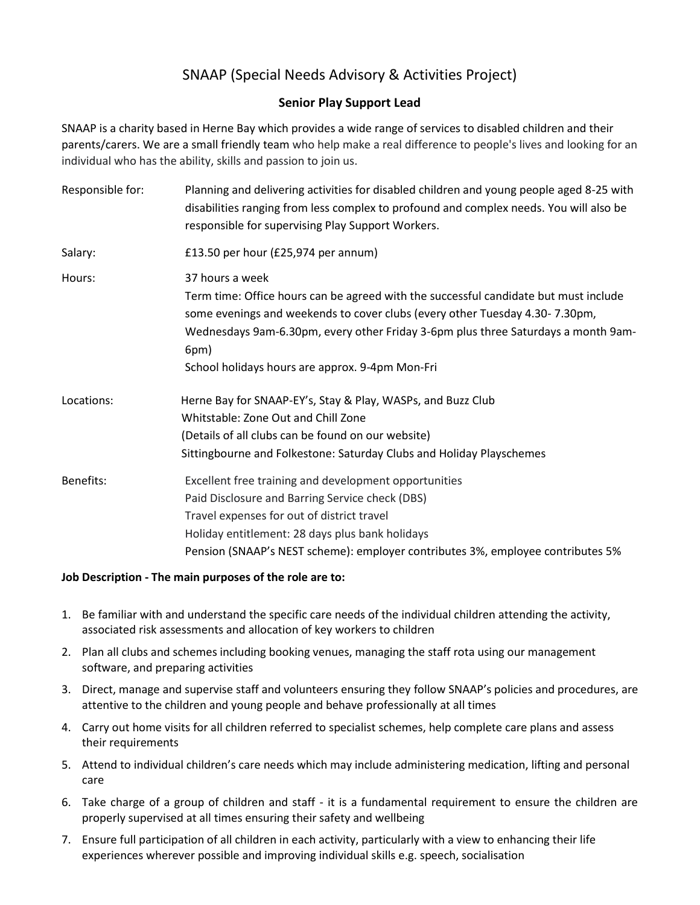## SNAAP (Special Needs Advisory & Activities Project)

## **Senior Play Support Lead**

SNAAP is a charity based in Herne Bay which provides a wide range of services to disabled children and their parents/carers. We are a small friendly team who help make a real difference to people's lives and looking for an individual who has the ability, skills and passion to join us.

| Responsible for: | Planning and delivering activities for disabled children and young people aged 8-25 with<br>disabilities ranging from less complex to profound and complex needs. You will also be<br>responsible for supervising Play Support Workers.                                                                                                |
|------------------|----------------------------------------------------------------------------------------------------------------------------------------------------------------------------------------------------------------------------------------------------------------------------------------------------------------------------------------|
| Salary:          | £13.50 per hour (£25,974 per annum)                                                                                                                                                                                                                                                                                                    |
| Hours:           | 37 hours a week<br>Term time: Office hours can be agreed with the successful candidate but must include<br>some evenings and weekends to cover clubs (every other Tuesday 4.30-7.30pm,<br>Wednesdays 9am-6.30pm, every other Friday 3-6pm plus three Saturdays a month 9am-<br>6pm)<br>School holidays hours are approx. 9-4pm Mon-Fri |
| Locations:       | Herne Bay for SNAAP-EY's, Stay & Play, WASPs, and Buzz Club<br>Whitstable: Zone Out and Chill Zone<br>(Details of all clubs can be found on our website)<br>Sittingbourne and Folkestone: Saturday Clubs and Holiday Playschemes                                                                                                       |
| Benefits:        | Excellent free training and development opportunities<br>Paid Disclosure and Barring Service check (DBS)<br>Travel expenses for out of district travel<br>Holiday entitlement: 28 days plus bank holidays<br>Pension (SNAAP's NEST scheme): employer contributes 3%, employee contributes 5%                                           |

## **Job Description - The main purposes of the role are to:**

- 1. Be familiar with and understand the specific care needs of the individual children attending the activity, associated risk assessments and allocation of key workers to children
- 2. Plan all clubs and schemes including booking venues, managing the staff rota using our management software, and preparing activities
- 3. Direct, manage and supervise staff and volunteers ensuring they follow SNAAP's policies and procedures, are attentive to the children and young people and behave professionally at all times
- 4. Carry out home visits for all children referred to specialist schemes, help complete care plans and assess their requirements
- 5. Attend to individual children's care needs which may include administering medication, lifting and personal care
- 6. Take charge of a group of children and staff it is a fundamental requirement to ensure the children are properly supervised at all times ensuring their safety and wellbeing
- 7. Ensure full participation of all children in each activity, particularly with a view to enhancing their life experiences wherever possible and improving individual skills e.g. speech, socialisation